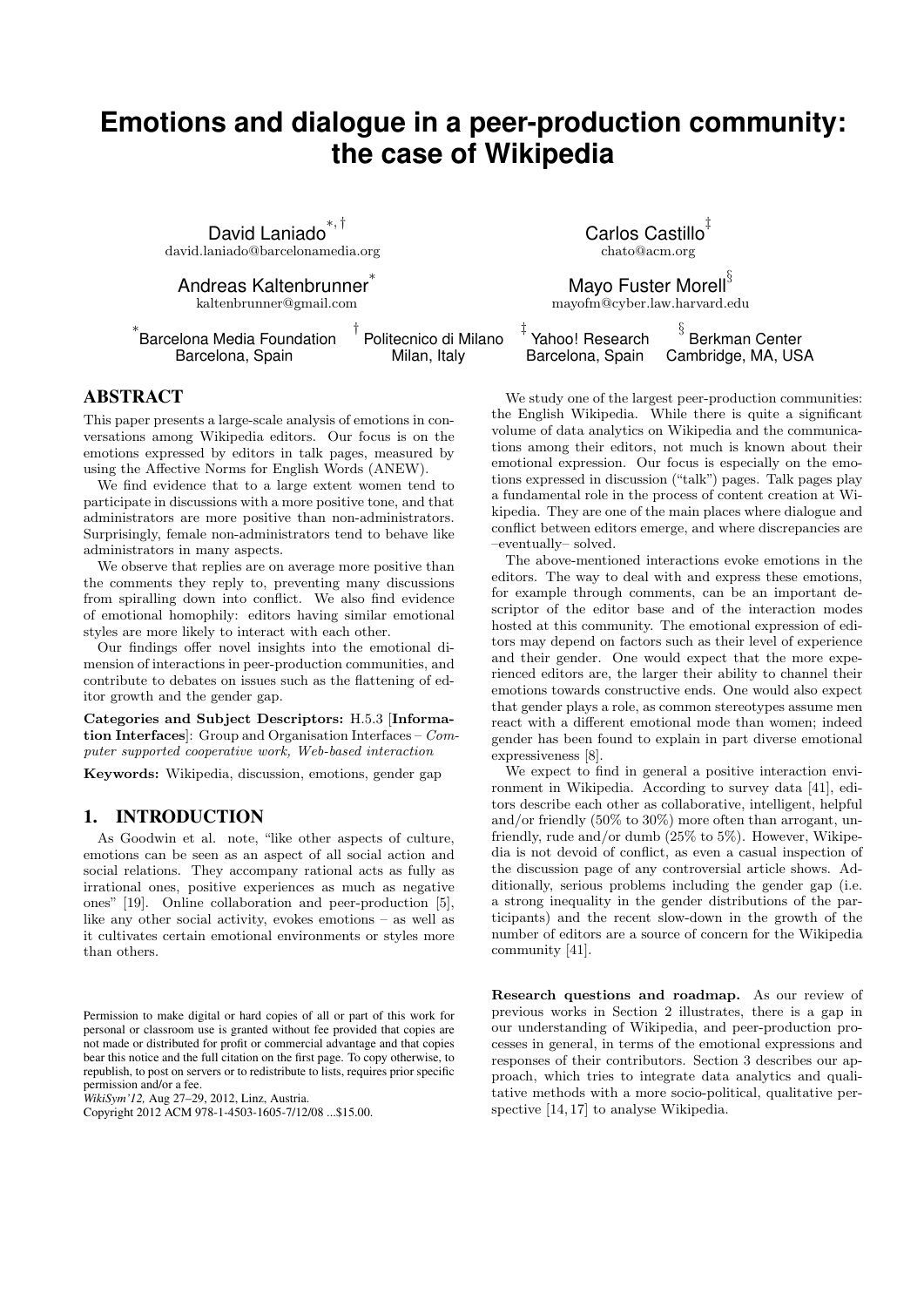# **Emotions and dialogue in a peer-production community: the case of Wikipedia**

David Laniado<sup>\*, †</sup> david.laniado@barcelonamedia.org

Andreas Kaltenbrunner kaltenbrunner@gmail.com

∗ Barcelona Media Foundation

† Politecnico di Milano

Carlos Castillo<sup>‡</sup> chato@acm.org

Mayo Fuster Morell<sup>§</sup>

mayofm@cyber.law.harvard.edu

‡ Yahoo! Research<br>Barcelona, Spain § Berkman Center Barcelona, Spain **Milan, Italy** Barcelona, Spain Cambridge, MA, USA

## ABSTRACT

This paper presents a large-scale analysis of emotions in conversations among Wikipedia editors. Our focus is on the emotions expressed by editors in talk pages, measured by using the Affective Norms for English Words (ANEW).

We find evidence that to a large extent women tend to participate in discussions with a more positive tone, and that administrators are more positive than non-administrators. Surprisingly, female non-administrators tend to behave like administrators in many aspects.

We observe that replies are on average more positive than the comments they reply to, preventing many discussions from spiralling down into conflict. We also find evidence of emotional homophily: editors having similar emotional styles are more likely to interact with each other.

Our findings offer novel insights into the emotional dimension of interactions in peer-production communities, and contribute to debates on issues such as the flattening of editor growth and the gender gap.

Categories and Subject Descriptors: H.5.3 [Information Interfaces]: Group and Organisation Interfaces – Computer supported cooperative work, Web-based interaction

Keywords: Wikipedia, discussion, emotions, gender gap

# 1. INTRODUCTION

As Goodwin et al. note, "like other aspects of culture, emotions can be seen as an aspect of all social action and social relations. They accompany rational acts as fully as irrational ones, positive experiences as much as negative ones" [19]. Online collaboration and peer-production [5], like any other social activity, evokes emotions – as well as it cultivates certain emotional environments or styles more than others.

*WikiSym'12,* Aug 27–29, 2012, Linz, Austria.

We study one of the largest peer-production communities: the English Wikipedia. While there is quite a significant volume of data analytics on Wikipedia and the communications among their editors, not much is known about their emotional expression. Our focus is especially on the emotions expressed in discussion ("talk") pages. Talk pages play a fundamental role in the process of content creation at Wikipedia. They are one of the main places where dialogue and conflict between editors emerge, and where discrepancies are –eventually– solved.

The above-mentioned interactions evoke emotions in the editors. The way to deal with and express these emotions, for example through comments, can be an important descriptor of the editor base and of the interaction modes hosted at this community. The emotional expression of editors may depend on factors such as their level of experience and their gender. One would expect that the more experienced editors are, the larger their ability to channel their emotions towards constructive ends. One would also expect that gender plays a role, as common stereotypes assume men react with a different emotional mode than women; indeed gender has been found to explain in part diverse emotional expressiveness [8].

We expect to find in general a positive interaction environment in Wikipedia. According to survey data [41], editors describe each other as collaborative, intelligent, helpful and/or friendly (50% to 30%) more often than arrogant, unfriendly, rude and/or dumb (25% to 5%). However, Wikipedia is not devoid of conflict, as even a casual inspection of the discussion page of any controversial article shows. Additionally, serious problems including the gender gap (i.e. a strong inequality in the gender distributions of the participants) and the recent slow-down in the growth of the number of editors are a source of concern for the Wikipedia community [41].

Research questions and roadmap. As our review of previous works in Section 2 illustrates, there is a gap in our understanding of Wikipedia, and peer-production processes in general, in terms of the emotional expressions and responses of their contributors. Section 3 describes our approach, which tries to integrate data analytics and qualitative methods with a more socio-political, qualitative perspective [14, 17] to analyse Wikipedia.

Permission to make digital or hard copies of all or part of this work for personal or classroom use is granted without fee provided that copies are not made or distributed for profit or commercial advantage and that copies bear this notice and the full citation on the first page. To copy otherwise, to republish, to post on servers or to redistribute to lists, requires prior specific permission and/or a fee.

Copyright 2012 ACM 978-1-4503-1605-7/12/08 ...\$15.00.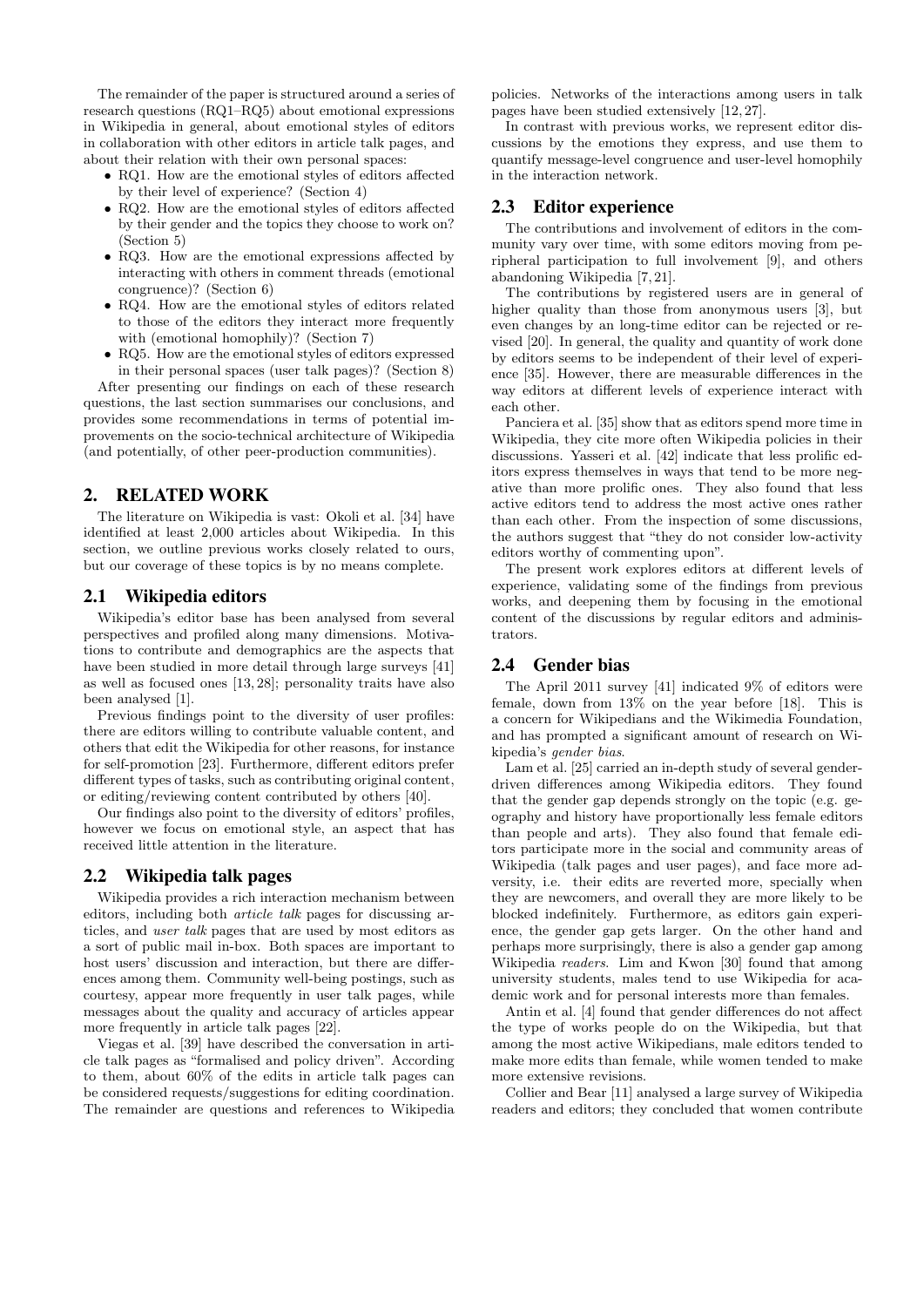The remainder of the paper is structured around a series of research questions (RQ1–RQ5) about emotional expressions in Wikipedia in general, about emotional styles of editors in collaboration with other editors in article talk pages, and about their relation with their own personal spaces:

- RQ1. How are the emotional styles of editors affected by their level of experience? (Section 4)
- RQ2. How are the emotional styles of editors affected by their gender and the topics they choose to work on? (Section 5)
- RQ3. How are the emotional expressions affected by interacting with others in comment threads (emotional congruence)? (Section 6)
- RQ4. How are the emotional styles of editors related to those of the editors they interact more frequently with (emotional homophily)? (Section 7)
- RQ5. How are the emotional styles of editors expressed in their personal spaces (user talk pages)? (Section 8)

After presenting our findings on each of these research questions, the last section summarises our conclusions, and provides some recommendations in terms of potential improvements on the socio-technical architecture of Wikipedia (and potentially, of other peer-production communities).

### 2. RELATED WORK

The literature on Wikipedia is vast: Okoli et al. [34] have identified at least 2,000 articles about Wikipedia. In this section, we outline previous works closely related to ours, but our coverage of these topics is by no means complete.

### 2.1 Wikipedia editors

Wikipedia's editor base has been analysed from several perspectives and profiled along many dimensions. Motivations to contribute and demographics are the aspects that have been studied in more detail through large surveys [41] as well as focused ones [13, 28]; personality traits have also been analysed [1].

Previous findings point to the diversity of user profiles: there are editors willing to contribute valuable content, and others that edit the Wikipedia for other reasons, for instance for self-promotion [23]. Furthermore, different editors prefer different types of tasks, such as contributing original content, or editing/reviewing content contributed by others [40].

Our findings also point to the diversity of editors' profiles, however we focus on emotional style, an aspect that has received little attention in the literature.

### 2.2 Wikipedia talk pages

Wikipedia provides a rich interaction mechanism between editors, including both *article talk* pages for discussing articles, and user talk pages that are used by most editors as a sort of public mail in-box. Both spaces are important to host users' discussion and interaction, but there are differences among them. Community well-being postings, such as courtesy, appear more frequently in user talk pages, while messages about the quality and accuracy of articles appear more frequently in article talk pages [22].

Viegas et al. [39] have described the conversation in article talk pages as "formalised and policy driven". According to them, about 60% of the edits in article talk pages can be considered requests/suggestions for editing coordination. The remainder are questions and references to Wikipedia

policies. Networks of the interactions among users in talk pages have been studied extensively [12, 27].

In contrast with previous works, we represent editor discussions by the emotions they express, and use them to quantify message-level congruence and user-level homophily in the interaction network.

### 2.3 Editor experience

The contributions and involvement of editors in the community vary over time, with some editors moving from peripheral participation to full involvement [9], and others abandoning Wikipedia [7, 21].

The contributions by registered users are in general of higher quality than those from anonymous users [3], but even changes by an long-time editor can be rejected or revised [20]. In general, the quality and quantity of work done by editors seems to be independent of their level of experience [35]. However, there are measurable differences in the way editors at different levels of experience interact with each other.

Panciera et al. [35] show that as editors spend more time in Wikipedia, they cite more often Wikipedia policies in their discussions. Yasseri et al. [42] indicate that less prolific editors express themselves in ways that tend to be more negative than more prolific ones. They also found that less active editors tend to address the most active ones rather than each other. From the inspection of some discussions, the authors suggest that "they do not consider low-activity editors worthy of commenting upon".

The present work explores editors at different levels of experience, validating some of the findings from previous works, and deepening them by focusing in the emotional content of the discussions by regular editors and administrators.

### 2.4 Gender bias

The April 2011 survey [41] indicated 9% of editors were female, down from 13% on the year before [18]. This is a concern for Wikipedians and the Wikimedia Foundation, and has prompted a significant amount of research on Wikipedia's gender bias.

Lam et al. [25] carried an in-depth study of several genderdriven differences among Wikipedia editors. They found that the gender gap depends strongly on the topic (e.g. geography and history have proportionally less female editors than people and arts). They also found that female editors participate more in the social and community areas of Wikipedia (talk pages and user pages), and face more adversity, i.e. their edits are reverted more, specially when they are newcomers, and overall they are more likely to be blocked indefinitely. Furthermore, as editors gain experience, the gender gap gets larger. On the other hand and perhaps more surprisingly, there is also a gender gap among Wikipedia readers. Lim and Kwon [30] found that among university students, males tend to use Wikipedia for academic work and for personal interests more than females.

Antin et al. [4] found that gender differences do not affect the type of works people do on the Wikipedia, but that among the most active Wikipedians, male editors tended to make more edits than female, while women tended to make more extensive revisions.

Collier and Bear [11] analysed a large survey of Wikipedia readers and editors; they concluded that women contribute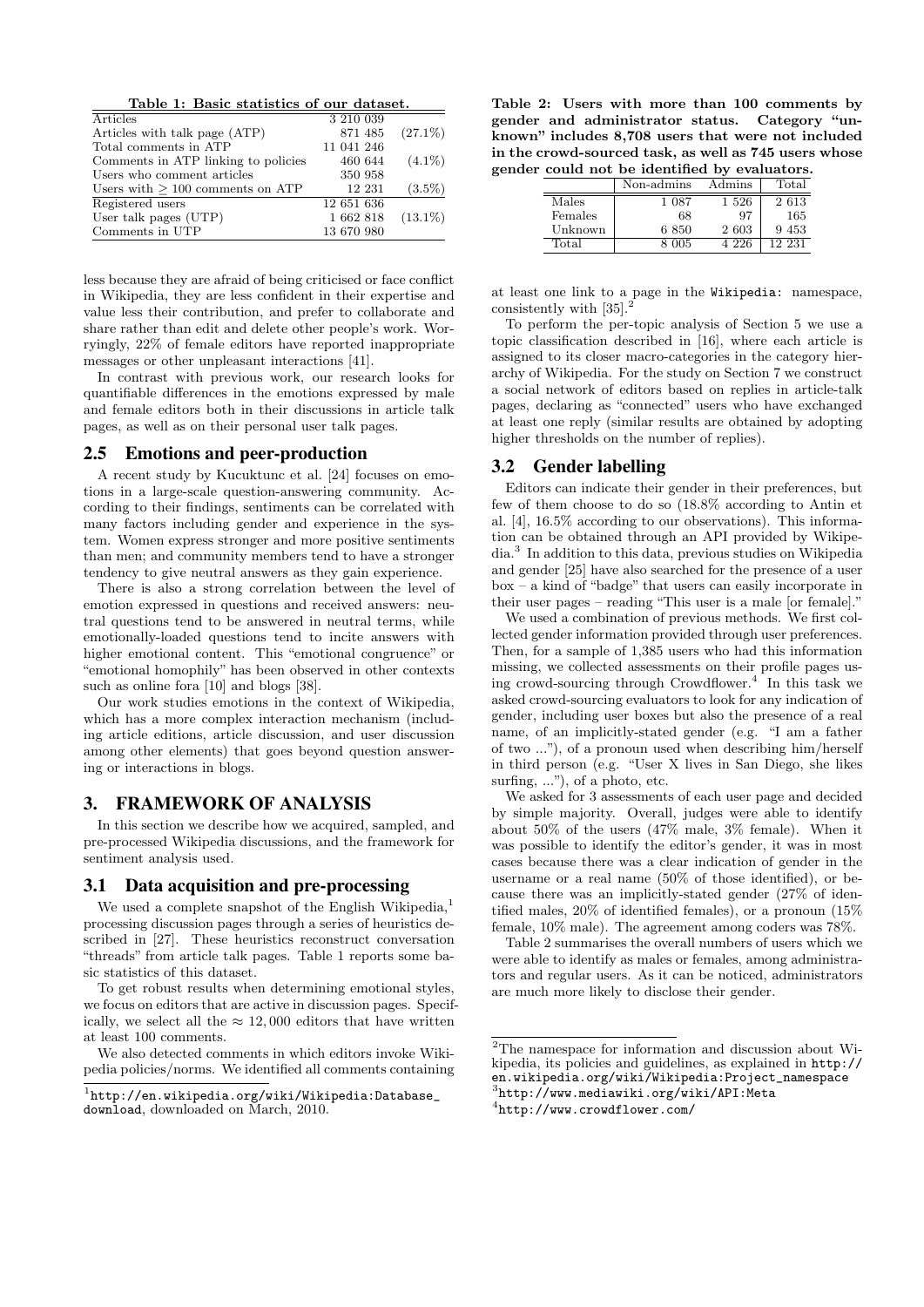Table 1: Basic statistics of our dataset.

| Articles                            | 3 210 039  |            |
|-------------------------------------|------------|------------|
| Articles with talk page (ATP)       | 871 485    | $(27.1\%)$ |
| Total comments in ATP               | 11 041 246 |            |
| Comments in ATP linking to policies | 460 644    | $(4.1\%)$  |
| Users who comment articles          | 350 958    |            |
| Users with $>100$ comments on ATP   | 12 231     | $(3.5\%)$  |
| Registered users                    | 12 651 636 |            |
| User talk pages $(UTP)$             | 1 662 818  | $(13.1\%)$ |
| Comments in UTP                     | 13 670 980 |            |

less because they are afraid of being criticised or face conflict in Wikipedia, they are less confident in their expertise and value less their contribution, and prefer to collaborate and share rather than edit and delete other people's work. Worryingly, 22% of female editors have reported inappropriate messages or other unpleasant interactions [41].

In contrast with previous work, our research looks for quantifiable differences in the emotions expressed by male and female editors both in their discussions in article talk pages, as well as on their personal user talk pages.

### 2.5 Emotions and peer-production

A recent study by Kucuktunc et al. [24] focuses on emotions in a large-scale question-answering community. According to their findings, sentiments can be correlated with many factors including gender and experience in the system. Women express stronger and more positive sentiments than men; and community members tend to have a stronger tendency to give neutral answers as they gain experience.

There is also a strong correlation between the level of emotion expressed in questions and received answers: neutral questions tend to be answered in neutral terms, while emotionally-loaded questions tend to incite answers with higher emotional content. This "emotional congruence" or "emotional homophily" has been observed in other contexts such as online fora [10] and blogs [38].

Our work studies emotions in the context of Wikipedia, which has a more complex interaction mechanism (including article editions, article discussion, and user discussion among other elements) that goes beyond question answering or interactions in blogs.

### 3. FRAMEWORK OF ANALYSIS

In this section we describe how we acquired, sampled, and pre-processed Wikipedia discussions, and the framework for sentiment analysis used.

#### 3.1 Data acquisition and pre-processing

We used a complete snapshot of the English Wikipedia,<sup>1</sup> processing discussion pages through a series of heuristics described in [27]. These heuristics reconstruct conversation "threads" from article talk pages. Table 1 reports some basic statistics of this dataset.

To get robust results when determining emotional styles, we focus on editors that are active in discussion pages. Specifically, we select all the  $\approx 12,000$  editors that have written at least 100 comments.

We also detected comments in which editors invoke Wikipedia policies/norms. We identified all comments containing

Table 2: Users with more than 100 comments by gender and administrator status. Category "unknown" includes 8,708 users that were not included in the crowd-sourced task, as well as 745 users whose gender could not be identified by evaluators.

|         | Non-admins | <b>A</b> <sub>d</sub> mins | $_{\rm Total}$ |
|---------|------------|----------------------------|----------------|
| Males   | 1 087      | 1526                       | 2 613          |
| Females | 68         | 97                         | 165            |
| Unknown | 6.850      | 2 603                      | 9 4 5 3        |
| Total   | 8.005      | 4 226                      | 12 231         |

at least one link to a page in the Wikipedia: namespace, consistently with  $[35]$ <sup>2</sup>

To perform the per-topic analysis of Section 5 we use a topic classification described in [16], where each article is assigned to its closer macro-categories in the category hierarchy of Wikipedia. For the study on Section 7 we construct a social network of editors based on replies in article-talk pages, declaring as "connected" users who have exchanged at least one reply (similar results are obtained by adopting higher thresholds on the number of replies).

## 3.2 Gender labelling

Editors can indicate their gender in their preferences, but few of them choose to do so (18.8% according to Antin et al. [4], 16.5% according to our observations). This information can be obtained through an API provided by Wikipedia.<sup>3</sup> In addition to this data, previous studies on Wikipedia and gender [25] have also searched for the presence of a user box – a kind of "badge" that users can easily incorporate in their user pages – reading "This user is a male [or female]."

We used a combination of previous methods. We first collected gender information provided through user preferences. Then, for a sample of 1,385 users who had this information missing, we collected assessments on their profile pages using crowd-sourcing through Crowdflower.<sup>4</sup> In this task we asked crowd-sourcing evaluators to look for any indication of gender, including user boxes but also the presence of a real name, of an implicitly-stated gender (e.g. "I am a father of two ..."), of a pronoun used when describing him/herself in third person (e.g. "User X lives in San Diego, she likes surfing, ..."), of a photo, etc.

We asked for 3 assessments of each user page and decided by simple majority. Overall, judges were able to identify about 50% of the users (47% male, 3% female). When it was possible to identify the editor's gender, it was in most cases because there was a clear indication of gender in the username or a real name (50% of those identified), or because there was an implicitly-stated gender (27% of identified males, 20% of identified females), or a pronoun (15% female, 10% male). The agreement among coders was 78%.

Table 2 summarises the overall numbers of users which we were able to identify as males or females, among administrators and regular users. As it can be noticed, administrators are much more likely to disclose their gender.

 $1$ http://en.wikipedia.org/wiki/Wikipedia:Database\_ download, downloaded on March, 2010.

<sup>&</sup>lt;sup>2</sup>The namespace for information and discussion about Wikipedia, its policies and guidelines, as explained in http:// en.wikipedia.org/wiki/Wikipedia:Project\_namespace

<sup>3</sup> http://www.mediawiki.org/wiki/API:Meta

<sup>4</sup> http://www.crowdflower.com/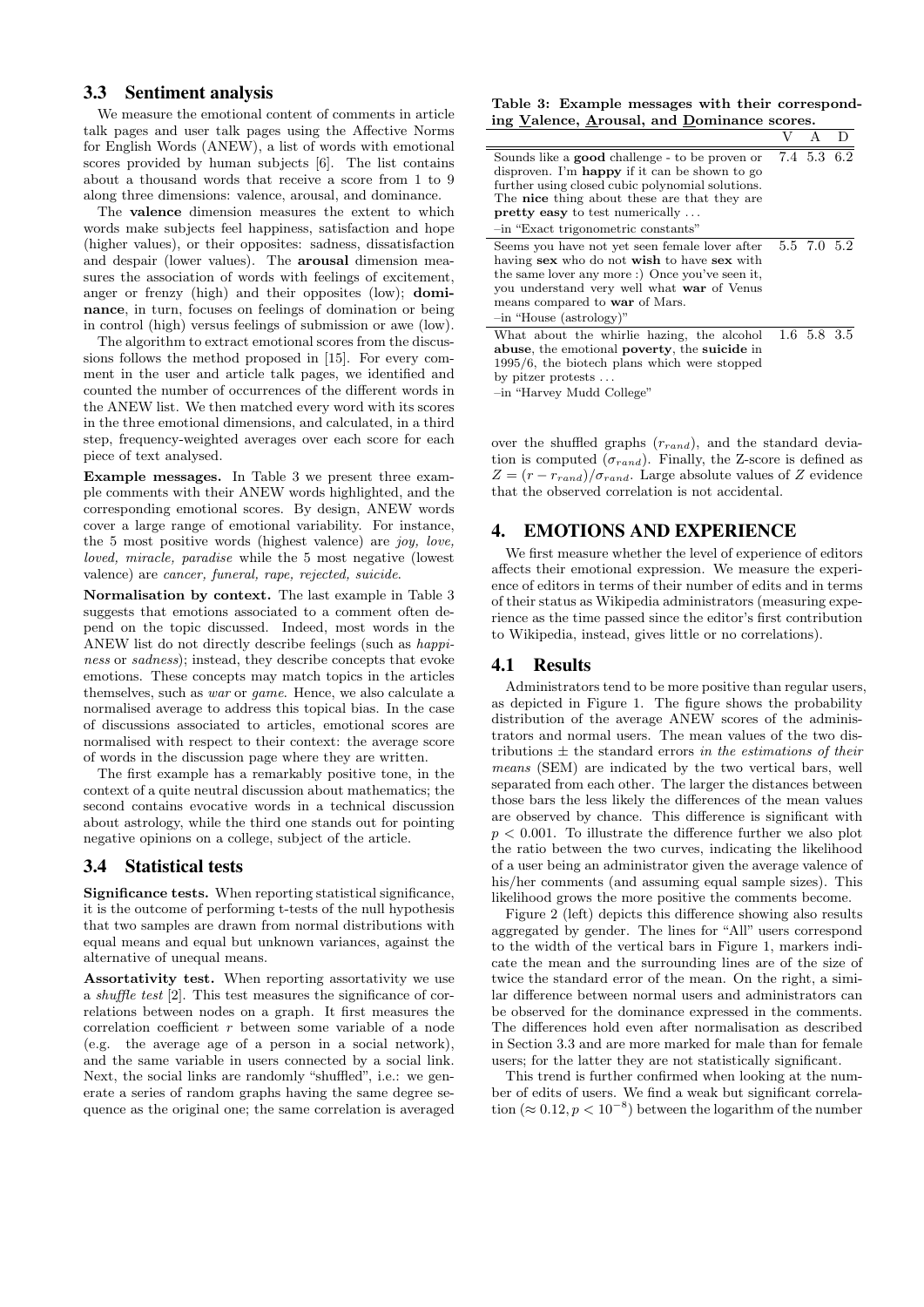### 3.3 Sentiment analysis

We measure the emotional content of comments in article talk pages and user talk pages using the Affective Norms for English Words (ANEW), a list of words with emotional scores provided by human subjects [6]. The list contains about a thousand words that receive a score from 1 to 9 along three dimensions: valence, arousal, and dominance.

The valence dimension measures the extent to which words make subjects feel happiness, satisfaction and hope (higher values), or their opposites: sadness, dissatisfaction and despair (lower values). The arousal dimension measures the association of words with feelings of excitement, anger or frenzy (high) and their opposites (low); dominance, in turn, focuses on feelings of domination or being in control (high) versus feelings of submission or awe (low).

The algorithm to extract emotional scores from the discussions follows the method proposed in [15]. For every comment in the user and article talk pages, we identified and counted the number of occurrences of the different words in the ANEW list. We then matched every word with its scores in the three emotional dimensions, and calculated, in a third step, frequency-weighted averages over each score for each piece of text analysed.

Example messages. In Table 3 we present three example comments with their ANEW words highlighted, and the corresponding emotional scores. By design, ANEW words cover a large range of emotional variability. For instance, the 5 most positive words (highest valence) are joy, love, loved, miracle, paradise while the 5 most negative (lowest valence) are cancer, funeral, rape, rejected, suicide.

Normalisation by context. The last example in Table 3 suggests that emotions associated to a comment often depend on the topic discussed. Indeed, most words in the ANEW list do not directly describe feelings (such as happiness or sadness); instead, they describe concepts that evoke emotions. These concepts may match topics in the articles themselves, such as war or game. Hence, we also calculate a normalised average to address this topical bias. In the case of discussions associated to articles, emotional scores are normalised with respect to their context: the average score of words in the discussion page where they are written.

The first example has a remarkably positive tone, in the context of a quite neutral discussion about mathematics; the second contains evocative words in a technical discussion about astrology, while the third one stands out for pointing negative opinions on a college, subject of the article.

#### 3.4 Statistical tests

Significance tests. When reporting statistical significance, it is the outcome of performing t-tests of the null hypothesis that two samples are drawn from normal distributions with equal means and equal but unknown variances, against the alternative of unequal means.

Assortativity test. When reporting assortativity we use a shuffle test [2]. This test measures the significance of correlations between nodes on a graph. It first measures the correlation coefficient r between some variable of a node (e.g. the average age of a person in a social network), and the same variable in users connected by a social link. Next, the social links are randomly "shuffled", i.e.: we generate a series of random graphs having the same degree sequence as the original one; the same correlation is averaged

Table 3: Example messages with their corresponding Valence, Arousal, and Dominance scores.

| Sounds like a <b>good</b> challenge - to be proven or | 7.4 5.3 6.2                 |  |
|-------------------------------------------------------|-----------------------------|--|
| disproven. I'm happy if it can be shown to go         |                             |  |
| further using closed cubic polynomial solutions.      |                             |  |
| The <b>nice</b> thing about these are that they are   |                             |  |
| ${\bf pretty~ easy~to~test~numerically} \ldots$       |                             |  |
| $-\text{in}$ "Exact trigonometric constants"          |                             |  |
| Seems you have not yet seen female lover after        | 5.5 7.0 5.2                 |  |
| having sex who do not wish to have sex with           |                             |  |
| the same lover any more :) Once you've seen it,       |                             |  |
| you understand very well what war of Venus            |                             |  |
| means compared to <b>war</b> of Mars.                 |                             |  |
| $-\text{in}$ "House (astrology)"                      |                             |  |
| What about the whirlie hazing, the alcohol            | $1.6\text{ }5.8\text{ }3.5$ |  |
| abuse, the emotional poverty, the suicide in          |                             |  |
| $1995/6$ , the biotech plans which were stopped       |                             |  |
| by pitzer protests $\dots$                            |                             |  |
| -in "Harvey Mudd College"                             |                             |  |

over the shuffled graphs  $(r_{rand})$ , and the standard deviation is computed  $(\sigma_{rand})$ . Finally, the Z-score is defined as  $Z = (r - r_{rand})/\sigma_{rand}$ . Large absolute values of Z evidence that the observed correlation is not accidental.

### 4. EMOTIONS AND EXPERIENCE

We first measure whether the level of experience of editors affects their emotional expression. We measure the experience of editors in terms of their number of edits and in terms of their status as Wikipedia administrators (measuring experience as the time passed since the editor's first contribution to Wikipedia, instead, gives little or no correlations).

### 4.1 Results

Administrators tend to be more positive than regular users, as depicted in Figure 1. The figure shows the probability distribution of the average ANEW scores of the administrators and normal users. The mean values of the two distributions  $\pm$  the standard errors in the estimations of their means (SEM) are indicated by the two vertical bars, well separated from each other. The larger the distances between those bars the less likely the differences of the mean values are observed by chance. This difference is significant with  $p < 0.001$ . To illustrate the difference further we also plot the ratio between the two curves, indicating the likelihood of a user being an administrator given the average valence of his/her comments (and assuming equal sample sizes). This likelihood grows the more positive the comments become.

Figure 2 (left) depicts this difference showing also results aggregated by gender. The lines for "All" users correspond to the width of the vertical bars in Figure 1, markers indicate the mean and the surrounding lines are of the size of twice the standard error of the mean. On the right, a similar difference between normal users and administrators can be observed for the dominance expressed in the comments. The differences hold even after normalisation as described in Section 3.3 and are more marked for male than for female users; for the latter they are not statistically significant.

This trend is further confirmed when looking at the number of edits of users. We find a weak but significant correlation ( $\approx 0.12, p < 10^{-8}$ ) between the logarithm of the number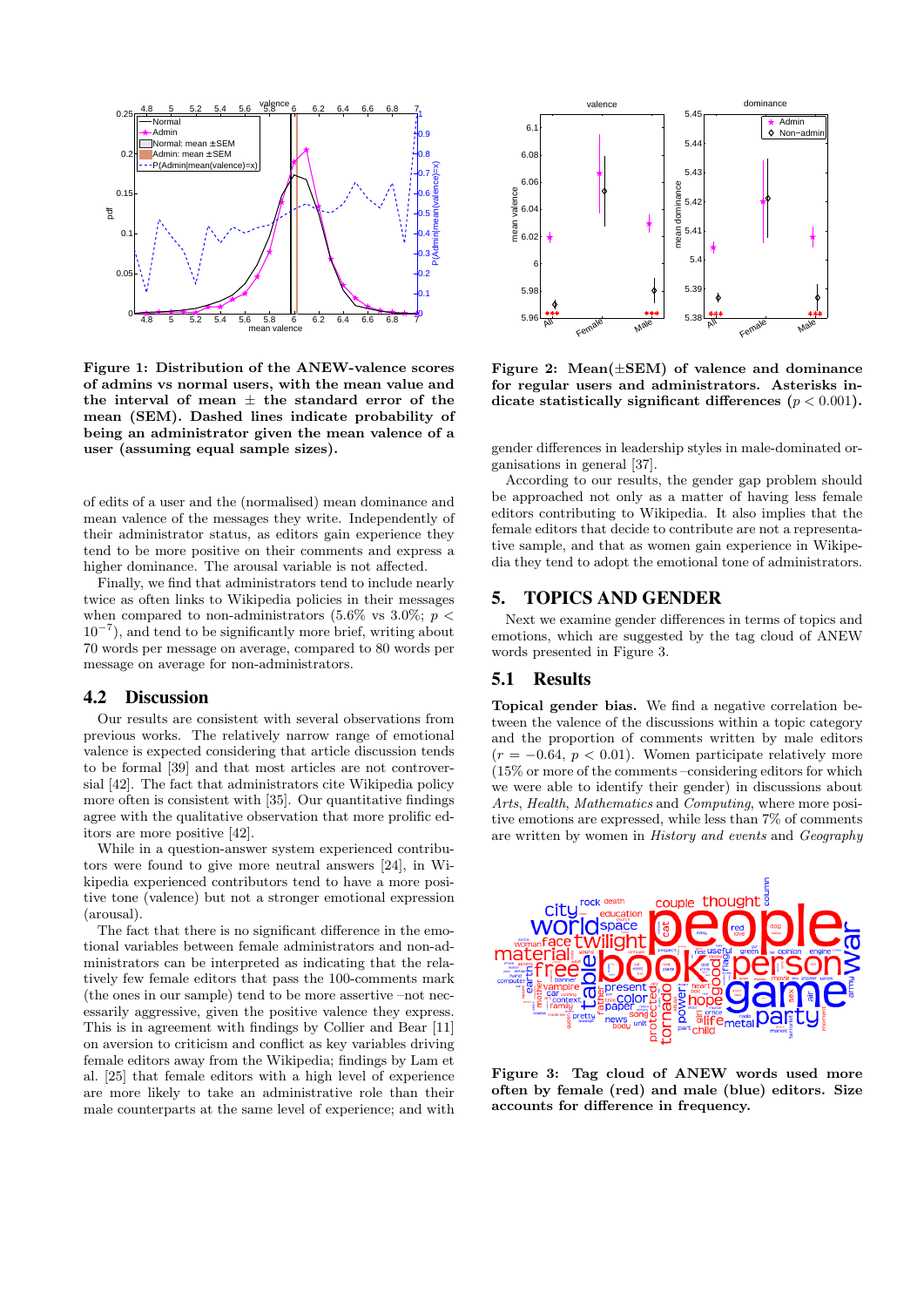

Figure 1: Distribution of the ANEW-valence scores of admins vs normal users, with the mean value and the interval of mean  $\pm$  the standard error of the mean (SEM). Dashed lines indicate probability of being an administrator given the mean valence of a user (assuming equal sample sizes).

of edits of a user and the (normalised) mean dominance and mean valence of the messages they write. Independently of their administrator status, as editors gain experience they tend to be more positive on their comments and express a higher dominance. The arousal variable is not affected.

Finally, we find that administrators tend to include nearly twice as often links to Wikipedia policies in their messages when compared to non-administrators (5.6% vs 3.0%;  $p <$ 10<sup>−</sup><sup>7</sup> ), and tend to be significantly more brief, writing about 70 words per message on average, compared to 80 words per message on average for non-administrators.

### 4.2 Discussion

Our results are consistent with several observations from previous works. The relatively narrow range of emotional valence is expected considering that article discussion tends to be formal [39] and that most articles are not controversial [42]. The fact that administrators cite Wikipedia policy more often is consistent with [35]. Our quantitative findings agree with the qualitative observation that more prolific editors are more positive [42].

While in a question-answer system experienced contributors were found to give more neutral answers [24], in Wikipedia experienced contributors tend to have a more positive tone (valence) but not a stronger emotional expression (arousal).

The fact that there is no significant difference in the emotional variables between female administrators and non-administrators can be interpreted as indicating that the relatively few female editors that pass the 100-comments mark (the ones in our sample) tend to be more assertive –not necessarily aggressive, given the positive valence they express. This is in agreement with findings by Collier and Bear [11] on aversion to criticism and conflict as key variables driving female editors away from the Wikipedia; findings by Lam et al. [25] that female editors with a high level of experience are more likely to take an administrative role than their male counterparts at the same level of experience; and with



Figure 2: Mean(±SEM) of valence and dominance for regular users and administrators. Asterisks indicate statistically significant differences ( $p < 0.001$ ).

gender differences in leadership styles in male-dominated organisations in general [37].

According to our results, the gender gap problem should be approached not only as a matter of having less female editors contributing to Wikipedia. It also implies that the female editors that decide to contribute are not a representative sample, and that as women gain experience in Wikipedia they tend to adopt the emotional tone of administrators.

## 5. TOPICS AND GENDER

Next we examine gender differences in terms of topics and emotions, which are suggested by the tag cloud of ANEW words presented in Figure 3.

# 5.1 Results

Topical gender bias. We find a negative correlation between the valence of the discussions within a topic category and the proportion of comments written by male editors  $(r = -0.64, p < 0.01)$ . Women participate relatively more (15% or more of the comments –considering editors for which we were able to identify their gender) in discussions about Arts, Health, Mathematics and Computing, where more positive emotions are expressed, while less than 7% of comments are written by women in History and events and Geography



Figure 3: Tag cloud of ANEW words used more often by female (red) and male (blue) editors. Size accounts for difference in frequency.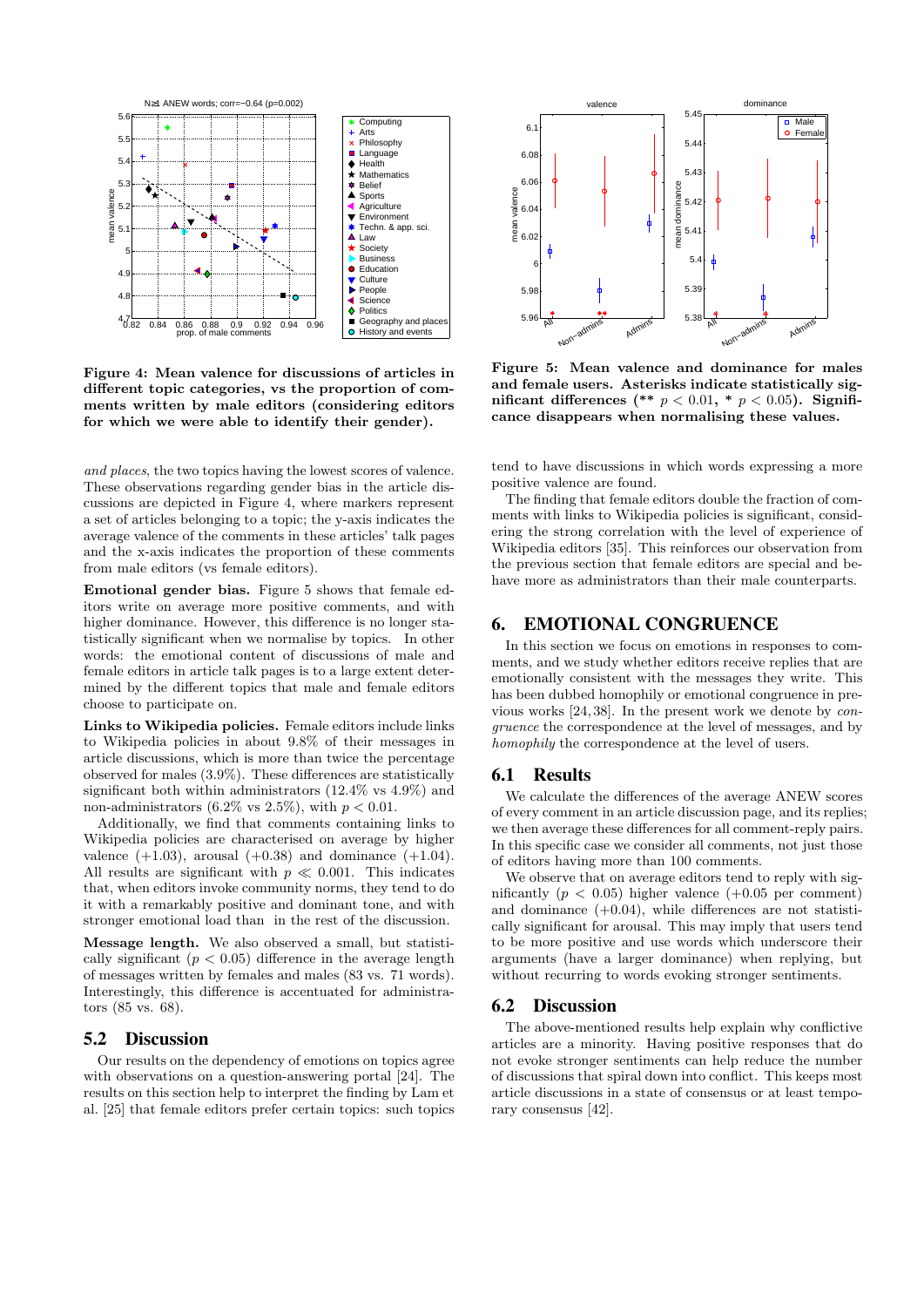

Figure 4: Mean valence for discussions of articles in different topic categories, vs the proportion of comments written by male editors (considering editors for which we were able to identify their gender).

and places, the two topics having the lowest scores of valence. These observations regarding gender bias in the article discussions are depicted in Figure 4, where markers represent a set of articles belonging to a topic; the y-axis indicates the average valence of the comments in these articles' talk pages and the x-axis indicates the proportion of these comments from male editors (vs female editors).

Emotional gender bias. Figure 5 shows that female editors write on average more positive comments, and with higher dominance. However, this difference is no longer statistically significant when we normalise by topics. In other words: the emotional content of discussions of male and female editors in article talk pages is to a large extent determined by the different topics that male and female editors choose to participate on.

Links to Wikipedia policies. Female editors include links to Wikipedia policies in about 9.8% of their messages in article discussions, which is more than twice the percentage observed for males (3.9%). These differences are statistically significant both within administrators (12.4% vs 4.9%) and non-administrators (6.2% vs 2.5%), with  $p < 0.01$ .

Additionally, we find that comments containing links to Wikipedia policies are characterised on average by higher valence  $(+1.03)$ , arousal  $(+0.38)$  and dominance  $(+1.04)$ . All results are significant with  $p \ll 0.001$ . This indicates that, when editors invoke community norms, they tend to do it with a remarkably positive and dominant tone, and with stronger emotional load than in the rest of the discussion.

Message length. We also observed a small, but statistically significant  $(p < 0.05)$  difference in the average length of messages written by females and males (83 vs. 71 words). Interestingly, this difference is accentuated for administrators (85 vs. 68).

#### 5.2 Discussion

Our results on the dependency of emotions on topics agree with observations on a question-answering portal [24]. The results on this section help to interpret the finding by Lam et al. [25] that female editors prefer certain topics: such topics



Figure 5: Mean valence and dominance for males and female users. Asterisks indicate statistically significant differences (\*\*  $p < 0.01$ , \*  $p < 0.05$ ). Significance disappears when normalising these values.

tend to have discussions in which words expressing a more positive valence are found.

The finding that female editors double the fraction of comments with links to Wikipedia policies is significant, considering the strong correlation with the level of experience of Wikipedia editors [35]. This reinforces our observation from the previous section that female editors are special and behave more as administrators than their male counterparts.

# 6. EMOTIONAL CONGRUENCE

In this section we focus on emotions in responses to comments, and we study whether editors receive replies that are emotionally consistent with the messages they write. This has been dubbed homophily or emotional congruence in previous works [24, 38]. In the present work we denote by congruence the correspondence at the level of messages, and by homophily the correspondence at the level of users.

### 6.1 Results

We calculate the differences of the average ANEW scores of every comment in an article discussion page, and its replies; we then average these differences for all comment-reply pairs. In this specific case we consider all comments, not just those of editors having more than 100 comments.

We observe that on average editors tend to reply with significantly ( $p < 0.05$ ) higher valence (+0.05 per comment) and dominance  $(+0.04)$ , while differences are not statistically significant for arousal. This may imply that users tend to be more positive and use words which underscore their arguments (have a larger dominance) when replying, but without recurring to words evoking stronger sentiments.

### 6.2 Discussion

The above-mentioned results help explain why conflictive articles are a minority. Having positive responses that do not evoke stronger sentiments can help reduce the number of discussions that spiral down into conflict. This keeps most article discussions in a state of consensus or at least temporary consensus [42].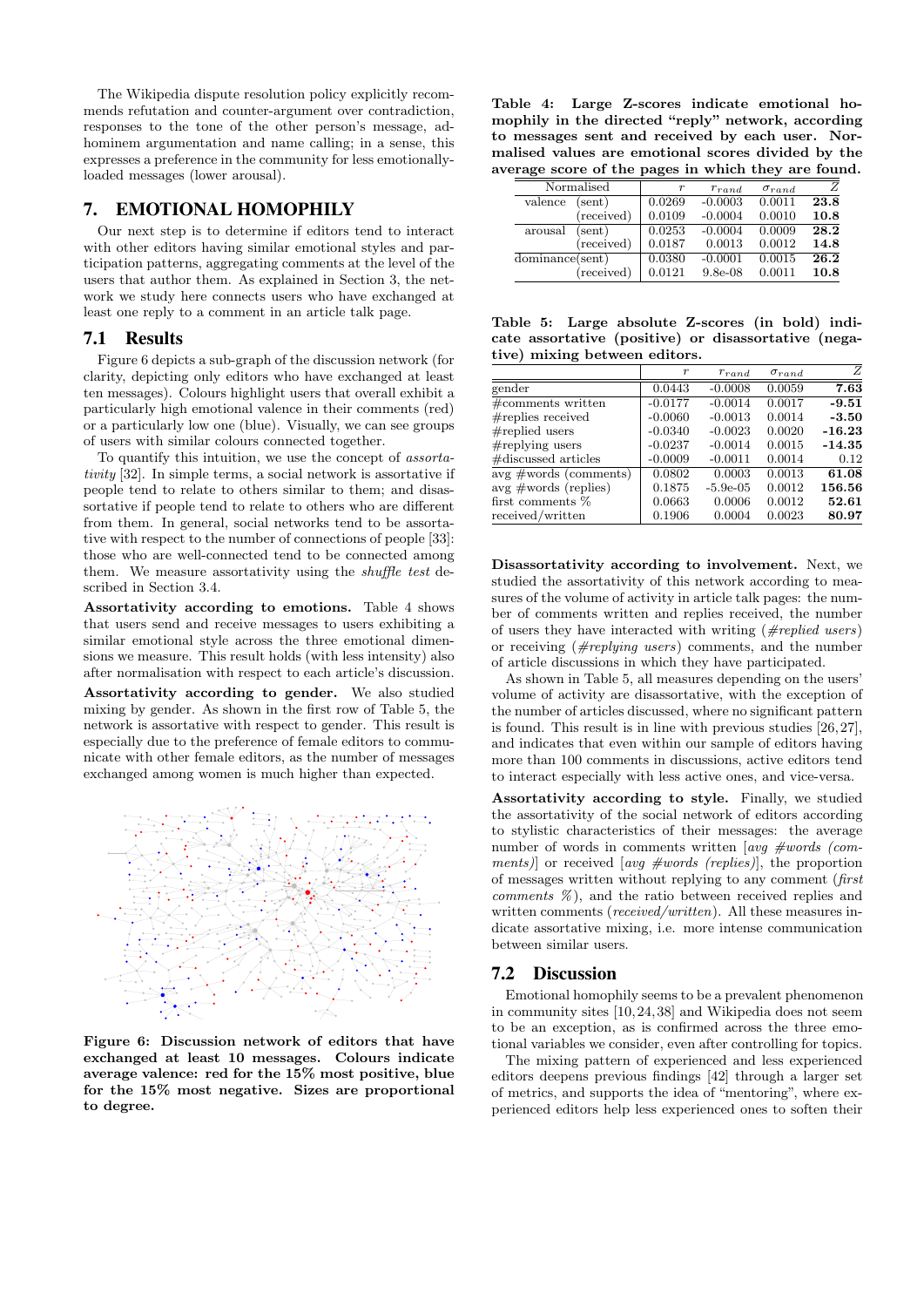The Wikipedia dispute resolution policy explicitly recommends refutation and counter-argument over contradiction, responses to the tone of the other person's message, adhominem argumentation and name calling; in a sense, this expresses a preference in the community for less emotionallyloaded messages (lower arousal).

## 7. EMOTIONAL HOMOPHILY

Our next step is to determine if editors tend to interact with other editors having similar emotional styles and participation patterns, aggregating comments at the level of the users that author them. As explained in Section 3, the network we study here connects users who have exchanged at least one reply to a comment in an article talk page.

### 7.1 Results

Figure 6 depicts a sub-graph of the discussion network (for clarity, depicting only editors who have exchanged at least ten messages). Colours highlight users that overall exhibit a particularly high emotional valence in their comments (red) or a particularly low one (blue). Visually, we can see groups of users with similar colours connected together.

To quantify this intuition, we use the concept of assortativity [32]. In simple terms, a social network is assortative if people tend to relate to others similar to them; and disassortative if people tend to relate to others who are different from them. In general, social networks tend to be assortative with respect to the number of connections of people [33]: those who are well-connected tend to be connected among them. We measure assortativity using the *shuffle test* described in Section 3.4.

Assortativity according to emotions. Table 4 shows that users send and receive messages to users exhibiting a similar emotional style across the three emotional dimensions we measure. This result holds (with less intensity) also after normalisation with respect to each article's discussion.

Assortativity according to gender. We also studied mixing by gender. As shown in the first row of Table 5, the network is assortative with respect to gender. This result is especially due to the preference of female editors to communicate with other female editors, as the number of messages exchanged among women is much higher than expected.



Figure 6: Discussion network of editors that have exchanged at least 10 messages. Colours indicate average valence: red for the 15% most positive, blue for the 15% most negative. Sizes are proportional to degree.

Table 4: Large Z-scores indicate emotional homophily in the directed "reply" network, according to messages sent and received by each user. Normalised values are emotional scores divided by the average score of the pages in which they are found.

| Normalised        | $\boldsymbol{r}$ | $r_{rand}$ | $\sigma_{rand}$ |      |
|-------------------|------------------|------------|-----------------|------|
| (sent)<br>valence | 0.0269           | $-0.0003$  | 0.0011          | 23.8 |
| (received)        | 0.0109           | $-0.0004$  | 0.0010          | 10.8 |
| (sent)<br>arousal | 0.0253           | $-0.0004$  | 0.0009          | 28.2 |
| (received)        | 0.0187           | 0.0013     | 0.0012          | 14.8 |
| dominance(sent)   | 0.0380           | $-0.0001$  | 0.0015          | 26.2 |
| (received)        | 0.0121           | $9.8e-0.8$ | 0.0011          | 10.8 |

Table 5: Large absolute Z-scores (in bold) indicate assortative (positive) or disassortative (negative) mixing between editors.

|                                            | r         | $r_{rand}$ | $\sigma_{rand}$ |          |
|--------------------------------------------|-----------|------------|-----------------|----------|
| gender                                     | 0.0443    | $-0.0008$  | 0.0059          | 7.63     |
| $\#\text{comments written}$                | $-0.0177$ | $-0.0014$  | 0.0017          | $-9.51$  |
| $\#$ replies received                      | $-0.0060$ | $-0.0013$  | 0.0014          | $-3.50$  |
| $\#$ replied users                         | $-0.0340$ | $-0.0023$  | 0.0020          | $-16.23$ |
| $\#$ replying users                        | $-0.0237$ | $-0.0014$  | 0.0015          | $-14.35$ |
| $\#$ discussed articles                    | $-0.0009$ | $-0.0011$  | 0.0014          | 0.12     |
| $\overline{\text{avg}\#}$ words (comments) | 0.0802    | 0.0003     | 0.0013          | 61.08    |
| $avg \#words$ (replies)                    | 0.1875    | $-5.9e-05$ | 0.0012          | 156.56   |
| first comments $%$                         | 0.0663    | 0.0006     | 0.0012          | 52.61    |
| received/written                           | 0.1906    | 0.0004     | 0.0023          | 80.97    |

Disassortativity according to involvement. Next, we studied the assortativity of this network according to measures of the volume of activity in article talk pages: the number of comments written and replies received, the number of users they have interacted with writing ( $\#replied$  users) or receiving  $(\text{#replying users})$  comments, and the number of article discussions in which they have participated.

As shown in Table 5, all measures depending on the users' volume of activity are disassortative, with the exception of the number of articles discussed, where no significant pattern is found. This result is in line with previous studies [26, 27], and indicates that even within our sample of editors having more than 100 comments in discussions, active editors tend to interact especially with less active ones, and vice-versa.

Assortativity according to style. Finally, we studied the assortativity of the social network of editors according to stylistic characteristics of their messages: the average number of words in comments written [avg  $\#words$  (comments)] or received  $[avg \#words (replies)],$  the proportion of messages written without replying to any comment (first comments %), and the ratio between received replies and written comments (*received/written*). All these measures indicate assortative mixing, i.e. more intense communication between similar users.

### 7.2 Discussion

Emotional homophily seems to be a prevalent phenomenon in community sites [10, 24, 38] and Wikipedia does not seem to be an exception, as is confirmed across the three emotional variables we consider, even after controlling for topics.

The mixing pattern of experienced and less experienced editors deepens previous findings [42] through a larger set of metrics, and supports the idea of "mentoring", where experienced editors help less experienced ones to soften their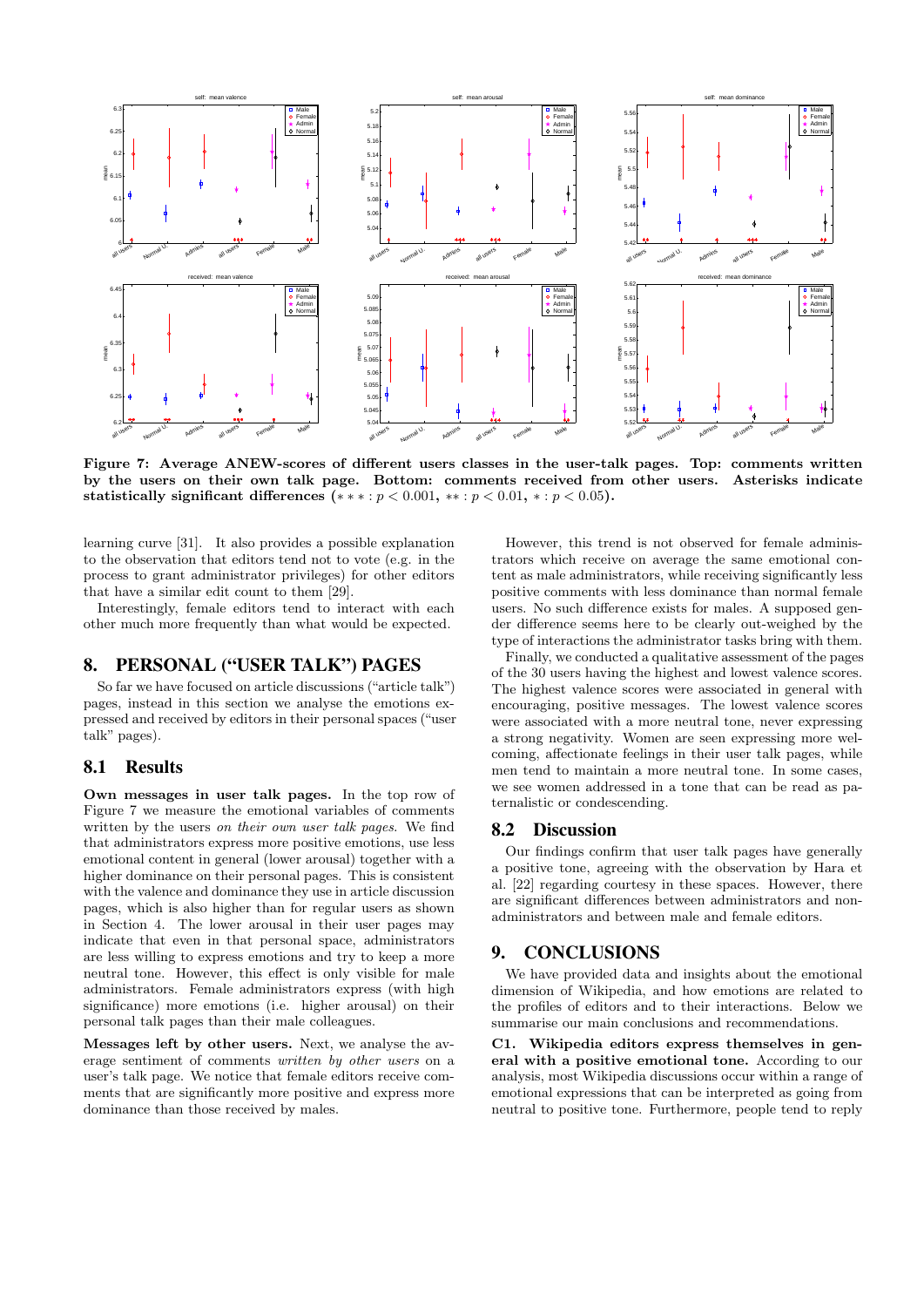

Figure 7: Average ANEW-scores of different users classes in the user-talk pages. Top: comments written by the users on their own talk page. Bottom: comments received from other users. Asterisks indicate statistically significant differences  $(***: p < 0.001, **: p < 0.01, * : p < 0.05)$ .

learning curve [31]. It also provides a possible explanation to the observation that editors tend not to vote (e.g. in the process to grant administrator privileges) for other editors that have a similar edit count to them [29].

Interestingly, female editors tend to interact with each other much more frequently than what would be expected.

# 8. PERSONAL ("USER TALK") PAGES

So far we have focused on article discussions ("article talk") pages, instead in this section we analyse the emotions expressed and received by editors in their personal spaces ("user talk" pages).

### 8.1 Results

Own messages in user talk pages. In the top row of Figure 7 we measure the emotional variables of comments written by the users *on their own user talk pages*. We find that administrators express more positive emotions, use less emotional content in general (lower arousal) together with a higher dominance on their personal pages. This is consistent with the valence and dominance they use in article discussion pages, which is also higher than for regular users as shown in Section 4. The lower arousal in their user pages may indicate that even in that personal space, administrators are less willing to express emotions and try to keep a more neutral tone. However, this effect is only visible for male administrators. Female administrators express (with high significance) more emotions (i.e. higher arousal) on their personal talk pages than their male colleagues.

Messages left by other users. Next, we analyse the average sentiment of comments written by other users on a user's talk page. We notice that female editors receive comments that are significantly more positive and express more dominance than those received by males.

However, this trend is not observed for female administrators which receive on average the same emotional content as male administrators, while receiving significantly less positive comments with less dominance than normal female users. No such difference exists for males. A supposed gender difference seems here to be clearly out-weighed by the type of interactions the administrator tasks bring with them.

Finally, we conducted a qualitative assessment of the pages of the 30 users having the highest and lowest valence scores. The highest valence scores were associated in general with encouraging, positive messages. The lowest valence scores were associated with a more neutral tone, never expressing a strong negativity. Women are seen expressing more welcoming, affectionate feelings in their user talk pages, while men tend to maintain a more neutral tone. In some cases, we see women addressed in a tone that can be read as paternalistic or condescending.

#### 8.2 Discussion

Our findings confirm that user talk pages have generally a positive tone, agreeing with the observation by Hara et al. [22] regarding courtesy in these spaces. However, there are significant differences between administrators and nonadministrators and between male and female editors.

# 9. CONCLUSIONS

We have provided data and insights about the emotional dimension of Wikipedia, and how emotions are related to the profiles of editors and to their interactions. Below we summarise our main conclusions and recommendations.

C1. Wikipedia editors express themselves in general with a positive emotional tone. According to our analysis, most Wikipedia discussions occur within a range of emotional expressions that can be interpreted as going from neutral to positive tone. Furthermore, people tend to reply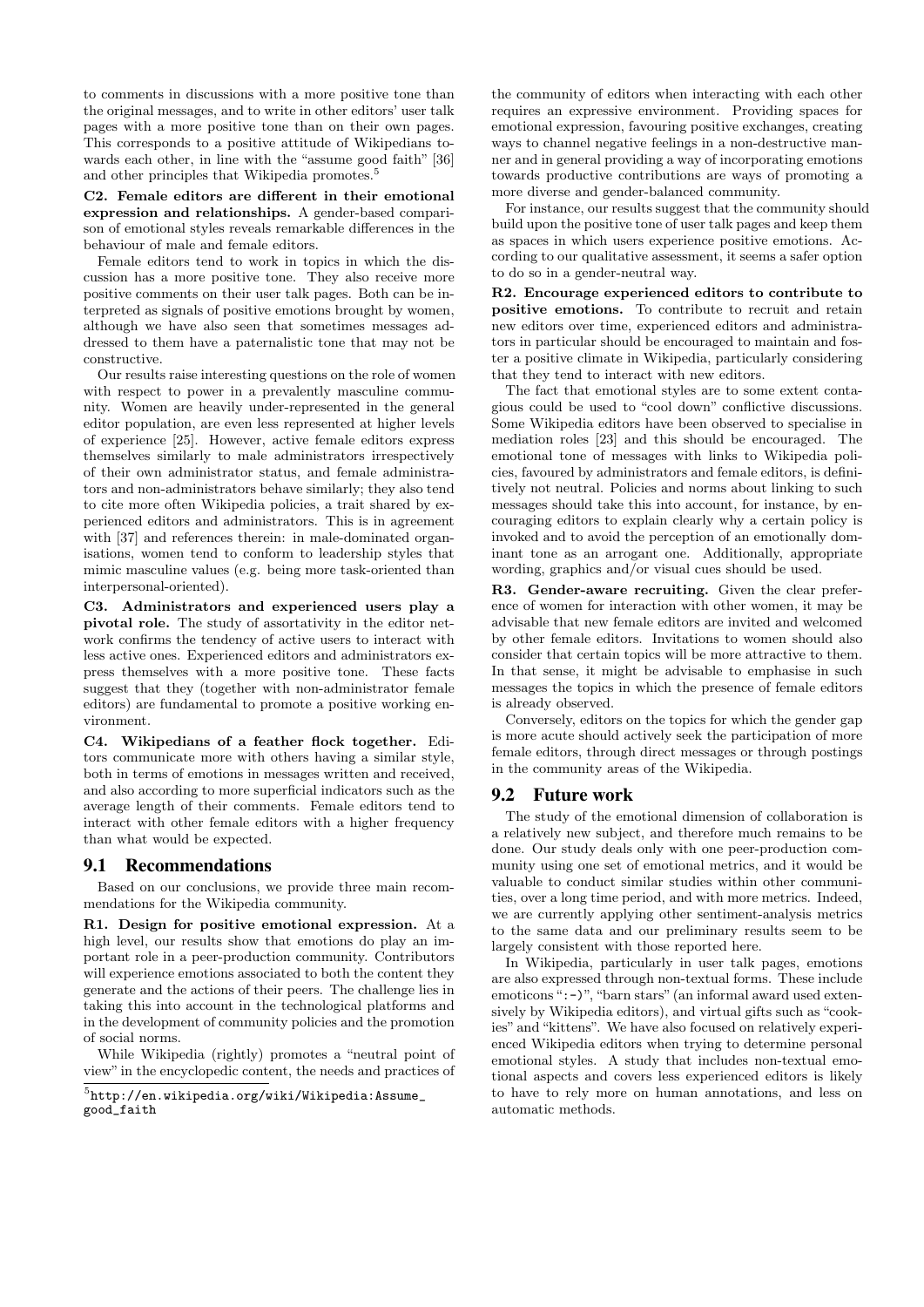to comments in discussions with a more positive tone than the original messages, and to write in other editors' user talk pages with a more positive tone than on their own pages. This corresponds to a positive attitude of Wikipedians towards each other, in line with the "assume good faith" [36] and other principles that Wikipedia promotes.<sup>5</sup>

C2. Female editors are different in their emotional expression and relationships. A gender-based comparison of emotional styles reveals remarkable differences in the behaviour of male and female editors.

Female editors tend to work in topics in which the discussion has a more positive tone. They also receive more positive comments on their user talk pages. Both can be interpreted as signals of positive emotions brought by women, although we have also seen that sometimes messages addressed to them have a paternalistic tone that may not be constructive.

Our results raise interesting questions on the role of women with respect to power in a prevalently masculine community. Women are heavily under-represented in the general editor population, are even less represented at higher levels of experience [25]. However, active female editors express themselves similarly to male administrators irrespectively of their own administrator status, and female administrators and non-administrators behave similarly; they also tend to cite more often Wikipedia policies, a trait shared by experienced editors and administrators. This is in agreement with [37] and references therein: in male-dominated organisations, women tend to conform to leadership styles that mimic masculine values (e.g. being more task-oriented than interpersonal-oriented).

C3. Administrators and experienced users play a pivotal role. The study of assortativity in the editor network confirms the tendency of active users to interact with less active ones. Experienced editors and administrators express themselves with a more positive tone. These facts suggest that they (together with non-administrator female editors) are fundamental to promote a positive working environment.

C4. Wikipedians of a feather flock together. Editors communicate more with others having a similar style, both in terms of emotions in messages written and received, and also according to more superficial indicators such as the average length of their comments. Female editors tend to interact with other female editors with a higher frequency than what would be expected.

## 9.1 Recommendations

Based on our conclusions, we provide three main recommendations for the Wikipedia community.

R1. Design for positive emotional expression. At a high level, our results show that emotions do play an important role in a peer-production community. Contributors will experience emotions associated to both the content they generate and the actions of their peers. The challenge lies in taking this into account in the technological platforms and in the development of community policies and the promotion of social norms.

While Wikipedia (rightly) promotes a "neutral point of view"in the encyclopedic content, the needs and practices of

the community of editors when interacting with each other requires an expressive environment. Providing spaces for emotional expression, favouring positive exchanges, creating ways to channel negative feelings in a non-destructive manner and in general providing a way of incorporating emotions towards productive contributions are ways of promoting a more diverse and gender-balanced community.

For instance, our results suggest that the community should build upon the positive tone of user talk pages and keep them as spaces in which users experience positive emotions. According to our qualitative assessment, it seems a safer option to do so in a gender-neutral way.

R2. Encourage experienced editors to contribute to positive emotions. To contribute to recruit and retain new editors over time, experienced editors and administrators in particular should be encouraged to maintain and foster a positive climate in Wikipedia, particularly considering that they tend to interact with new editors.

The fact that emotional styles are to some extent contagious could be used to "cool down" conflictive discussions. Some Wikipedia editors have been observed to specialise in mediation roles [23] and this should be encouraged. The emotional tone of messages with links to Wikipedia policies, favoured by administrators and female editors, is definitively not neutral. Policies and norms about linking to such messages should take this into account, for instance, by encouraging editors to explain clearly why a certain policy is invoked and to avoid the perception of an emotionally dominant tone as an arrogant one. Additionally, appropriate wording, graphics and/or visual cues should be used.

R3. Gender-aware recruiting. Given the clear preference of women for interaction with other women, it may be advisable that new female editors are invited and welcomed by other female editors. Invitations to women should also consider that certain topics will be more attractive to them. In that sense, it might be advisable to emphasise in such messages the topics in which the presence of female editors is already observed.

Conversely, editors on the topics for which the gender gap is more acute should actively seek the participation of more female editors, through direct messages or through postings in the community areas of the Wikipedia.

## 9.2 Future work

The study of the emotional dimension of collaboration is a relatively new subject, and therefore much remains to be done. Our study deals only with one peer-production community using one set of emotional metrics, and it would be valuable to conduct similar studies within other communities, over a long time period, and with more metrics. Indeed, we are currently applying other sentiment-analysis metrics to the same data and our preliminary results seem to be largely consistent with those reported here.

In Wikipedia, particularly in user talk pages, emotions are also expressed through non-textual forms. These include emoticons ":-)", "barn stars" (an informal award used extensively by Wikipedia editors), and virtual gifts such as "cookies" and "kittens". We have also focused on relatively experienced Wikipedia editors when trying to determine personal emotional styles. A study that includes non-textual emotional aspects and covers less experienced editors is likely to have to rely more on human annotations, and less on automatic methods.

 $^{5}$ http://en.wikipedia.org/wiki/Wikipedia:Assume\_ good\_faith